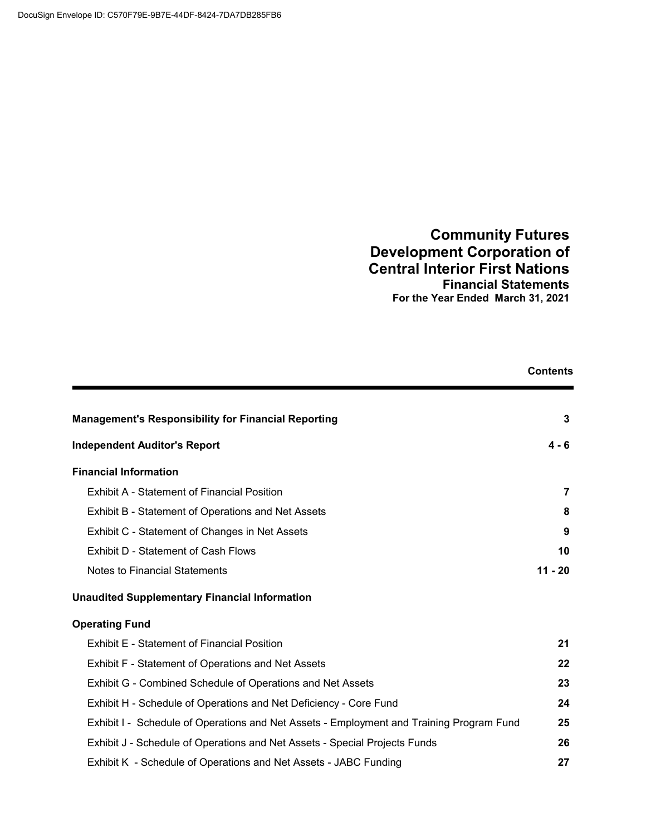## **Community Futures Development Corporation of Central Interior First Nations Financial Statements For the Year Ended March 31, 2021**

|                                                                                          | <b>Contents</b> |
|------------------------------------------------------------------------------------------|-----------------|
| <b>Management's Responsibility for Financial Reporting</b>                               | 3               |
| <b>Independent Auditor's Report</b>                                                      | 4 - 6           |
| <b>Financial Information</b>                                                             |                 |
| <b>Exhibit A - Statement of Financial Position</b>                                       | 7               |
| Exhibit B - Statement of Operations and Net Assets                                       | 8               |
| Exhibit C - Statement of Changes in Net Assets                                           | 9               |
| Exhibit D - Statement of Cash Flows                                                      | 10              |
| <b>Notes to Financial Statements</b>                                                     | $11 - 20$       |
| <b>Unaudited Supplementary Financial Information</b>                                     |                 |
| <b>Operating Fund</b>                                                                    |                 |
| <b>Exhibit E - Statement of Financial Position</b>                                       | 21              |
| Exhibit F - Statement of Operations and Net Assets                                       | 22              |
| Exhibit G - Combined Schedule of Operations and Net Assets                               | 23              |
| Exhibit H - Schedule of Operations and Net Deficiency - Core Fund                        | 24              |
| Exhibit I - Schedule of Operations and Net Assets - Employment and Training Program Fund | 25              |
| Exhibit J - Schedule of Operations and Net Assets - Special Projects Funds               | 26              |
| Exhibit K - Schedule of Operations and Net Assets - JABC Funding                         | 27              |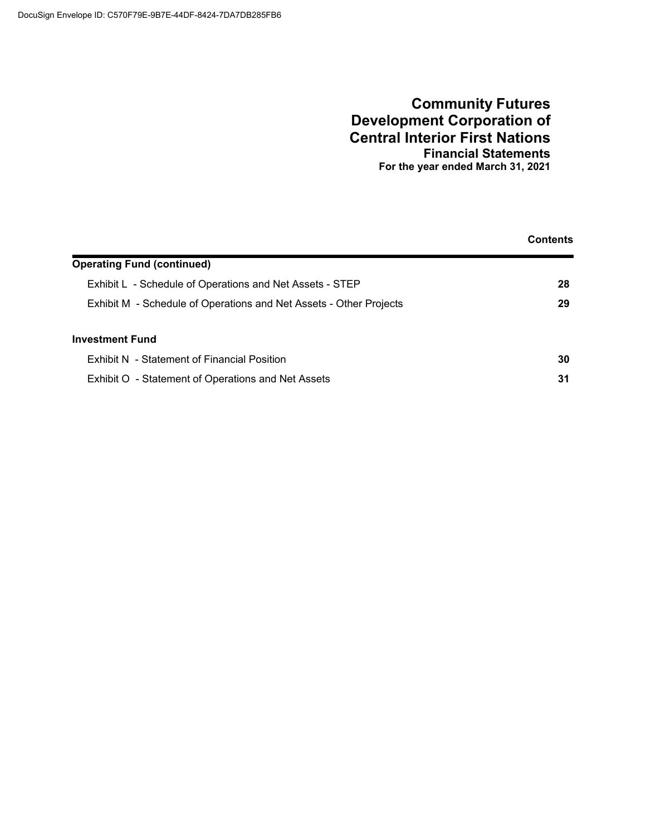### **Community Futures Development Corporation of Central Interior First Nations Financial Statements For the year ended March 31, 2021**

|                                                                    | <b>Contents</b> |
|--------------------------------------------------------------------|-----------------|
| <b>Operating Fund (continued)</b>                                  |                 |
| Exhibit L - Schedule of Operations and Net Assets - STEP           | 28              |
| Exhibit M - Schedule of Operations and Net Assets - Other Projects | 29              |
| <b>Investment Fund</b>                                             |                 |
| Exhibit N - Statement of Financial Position                        | 30              |
| Exhibit O - Statement of Operations and Net Assets                 | 31              |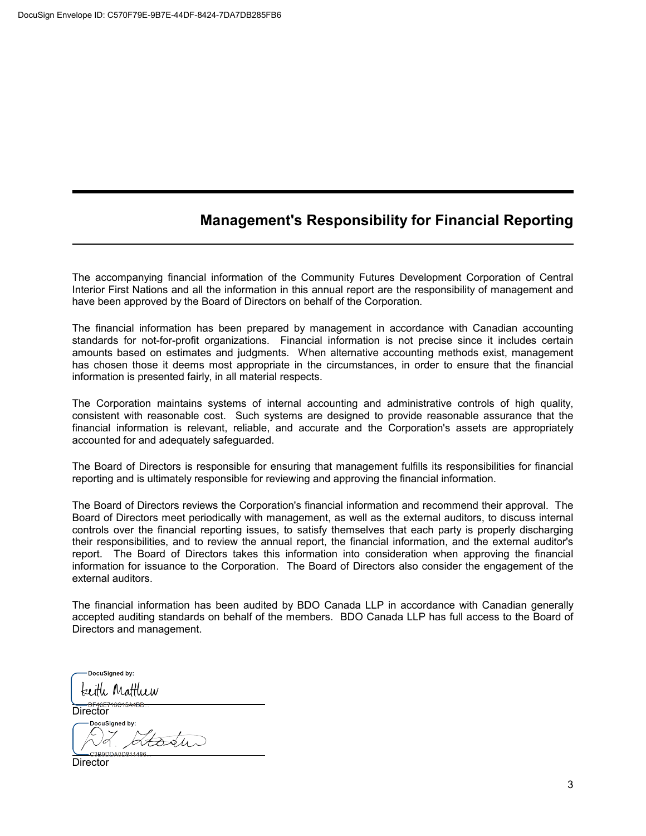# **Management's Responsibility for Financial Reporting**

The accompanying financial information of the Community Futures Development Corporation of Central Interior First Nations and all the information in this annual report are the responsibility of management and have been approved by the Board of Directors on behalf of the Corporation.

The financial information has been prepared by management in accordance with Canadian accounting standards for not-for-profit organizations. Financial information is not precise since it includes certain amounts based on estimates and judgments. When alternative accounting methods exist, management has chosen those it deems most appropriate in the circumstances, in order to ensure that the financial information is presented fairly, in all material respects.

The Corporation maintains systems of internal accounting and administrative controls of high quality, consistent with reasonable cost. Such systems are designed to provide reasonable assurance that the financial information is relevant, reliable, and accurate and the Corporation's assets are appropriately accounted for and adequately safeguarded.

The Board of Directors is responsible for ensuring that management fulfills its responsibilities for financial reporting and is ultimately responsible for reviewing and approving the financial information.

The Board of Directors reviews the Corporation's financial information and recommend their approval. The Board of Directors meet periodically with management, as well as the external auditors, to discuss internal controls over the financial reporting issues, to satisfy themselves that each party is properly discharging their responsibilities, and to review the annual report, the financial information, and the external auditor's report. The Board of Directors takes this information into consideration when approving the financial information for issuance to the Corporation. The Board of Directors also consider the engagement of the external auditors.

The financial information has been audited by BDO Canada LLP in accordance with Canadian generally accepted auditing standards on behalf of the members. BDO Canada LLP has full access to the Board of Directors and management.

DocuSigned by: keith Matthew

 **Director** 

**DocuSianed by:**  $\sqrt{100}$ 

Director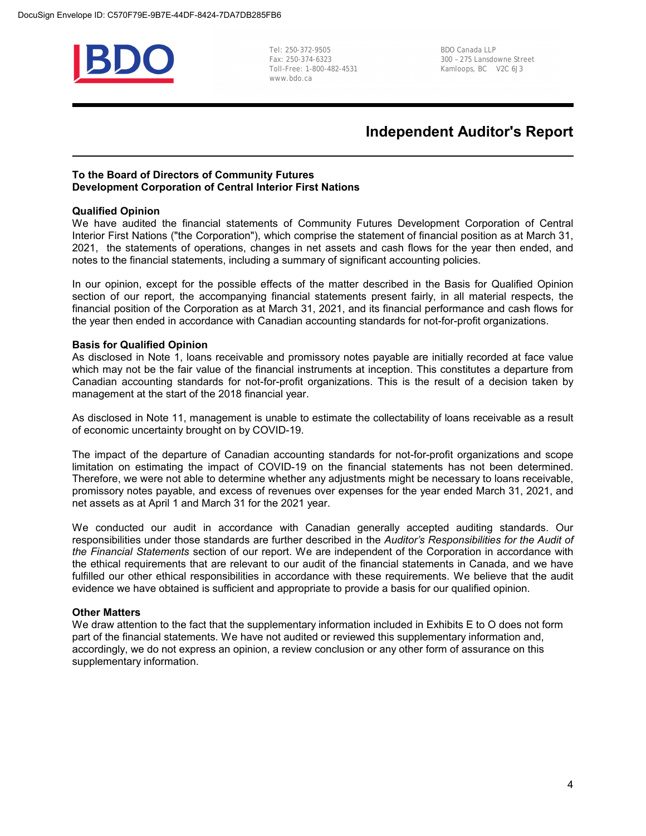

Tel: 250-372-9505 BDO Canada LLP Toll-Free: 1-800-482-4531 Kamloops, BC V2C 6J3 www.bdo.ca

300 - 275 Lansdowne Street

## **Independent Auditor's Report**

#### **To the Board of Directors of Community Futures Development Corporation of Central Interior First Nations**

### **Qualified Opinion**

We have audited the financial statements of Community Futures Development Corporation of Central Interior First Nations ("the Corporation"), which comprise the statement of financial position as at March 31, 2021, the statements of operations, changes in net assets and cash flows for the year then ended, and notes to the financial statements, including a summary of significant accounting policies.

In our opinion, except for the possible effects of the matter described in the Basis for Qualified Opinion section of our report, the accompanying financial statements present fairly, in all material respects, the financial position of the Corporation as at March 31, 2021, and its financial performance and cash flows for the year then ended in accordance with Canadian accounting standards for not-for-profit organizations.

#### **Basis for Qualified Opinion**

As disclosed in Note 1, loans receivable and promissory notes payable are initially recorded at face value which may not be the fair value of the financial instruments at inception. This constitutes a departure from Canadian accounting standards for not-for-profit organizations. This is the result of a decision taken by management at the start of the 2018 financial year.

As disclosed in Note 11, management is unable to estimate the collectability of loans receivable as a result of economic uncertainty brought on by COVID-19.

The impact of the departure of Canadian accounting standards for not-for-profit organizations and scope limitation on estimating the impact of COVID-19 on the financial statements has not been determined. Therefore, we were not able to determine whether any adjustments might be necessary to loans receivable, promissory notes payable, and excess of revenues over expenses for the year ended March 31, 2021, and net assets as at April 1 and March 31 for the 2021 year.

We conducted our audit in accordance with Canadian generally accepted auditing standards. Our responsibilities under those standards are further described in the *Auditor's Responsibilities for the Audit of the Financial Statements* section of our report. We are independent of the Corporation in accordance with the ethical requirements that are relevant to our audit of the financial statements in Canada, and we have fulfilled our other ethical responsibilities in accordance with these requirements. We believe that the audit evidence we have obtained is sufficient and appropriate to provide a basis for our qualified opinion.

#### **Other Matters**

We draw attention to the fact that the supplementary information included in Exhibits E to O does not form part of the financial statements. We have not audited or reviewed this supplementary information and, accordingly, we do not express an opinion, a review conclusion or any other form of assurance on this supplementary information.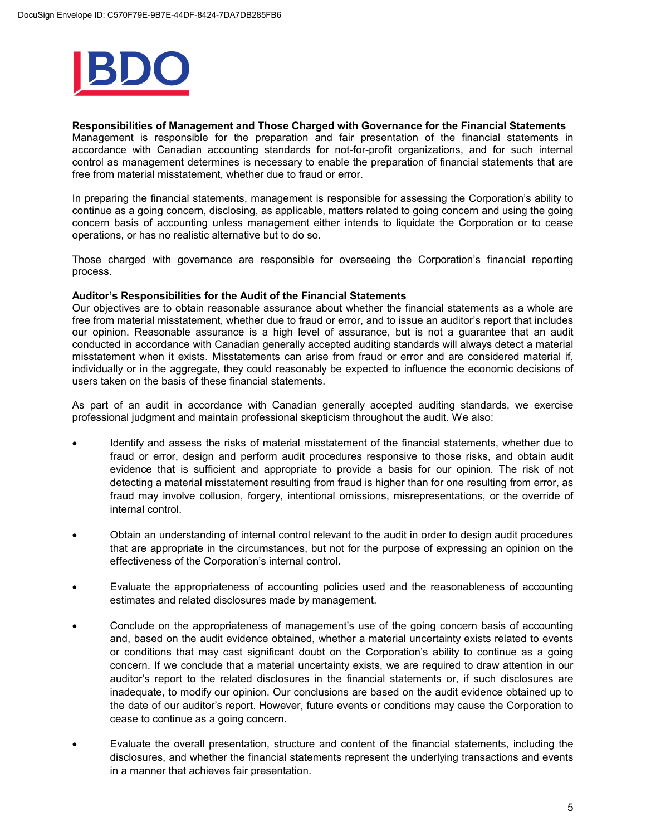

**Responsibilities of Management and Those Charged with Governance for the Financial Statements** Management is responsible for the preparation and fair presentation of the financial statements in accordance with Canadian accounting standards for not-for-profit organizations, and for such internal control as management determines is necessary to enable the preparation of financial statements that are free from material misstatement, whether due to fraud or error.

In preparing the financial statements, management is responsible for assessing the Corporation's ability to continue as a going concern, disclosing, as applicable, matters related to going concern and using the going concern basis of accounting unless management either intends to liquidate the Corporation or to cease operations, or has no realistic alternative but to do so.

Those charged with governance are responsible for overseeing the Corporation's financial reporting process.

#### **Auditor's Responsibilities for the Audit of the Financial Statements**

Our objectives are to obtain reasonable assurance about whether the financial statements as a whole are free from material misstatement, whether due to fraud or error, and to issue an auditor's report that includes our opinion. Reasonable assurance is a high level of assurance, but is not a guarantee that an audit conducted in accordance with Canadian generally accepted auditing standards will always detect a material misstatement when it exists. Misstatements can arise from fraud or error and are considered material if, individually or in the aggregate, they could reasonably be expected to influence the economic decisions of users taken on the basis of these financial statements.

As part of an audit in accordance with Canadian generally accepted auditing standards, we exercise professional judgment and maintain professional skepticism throughout the audit. We also:

- Identify and assess the risks of material misstatement of the financial statements, whether due to fraud or error, design and perform audit procedures responsive to those risks, and obtain audit evidence that is sufficient and appropriate to provide a basis for our opinion. The risk of not detecting a material misstatement resulting from fraud is higher than for one resulting from error, as fraud may involve collusion, forgery, intentional omissions, misrepresentations, or the override of internal control.
- Obtain an understanding of internal control relevant to the audit in order to design audit procedures that are appropriate in the circumstances, but not for the purpose of expressing an opinion on the effectiveness of the Corporation's internal control.
- Evaluate the appropriateness of accounting policies used and the reasonableness of accounting estimates and related disclosures made by management.
- Conclude on the appropriateness of management's use of the going concern basis of accounting and, based on the audit evidence obtained, whether a material uncertainty exists related to events or conditions that may cast significant doubt on the Corporation's ability to continue as a going concern. If we conclude that a material uncertainty exists, we are required to draw attention in our auditor's report to the related disclosures in the financial statements or, if such disclosures are inadequate, to modify our opinion. Our conclusions are based on the audit evidence obtained up to the date of our auditor's report. However, future events or conditions may cause the Corporation to cease to continue as a going concern.
- Evaluate the overall presentation, structure and content of the financial statements, including the disclosures, and whether the financial statements represent the underlying transactions and events in a manner that achieves fair presentation.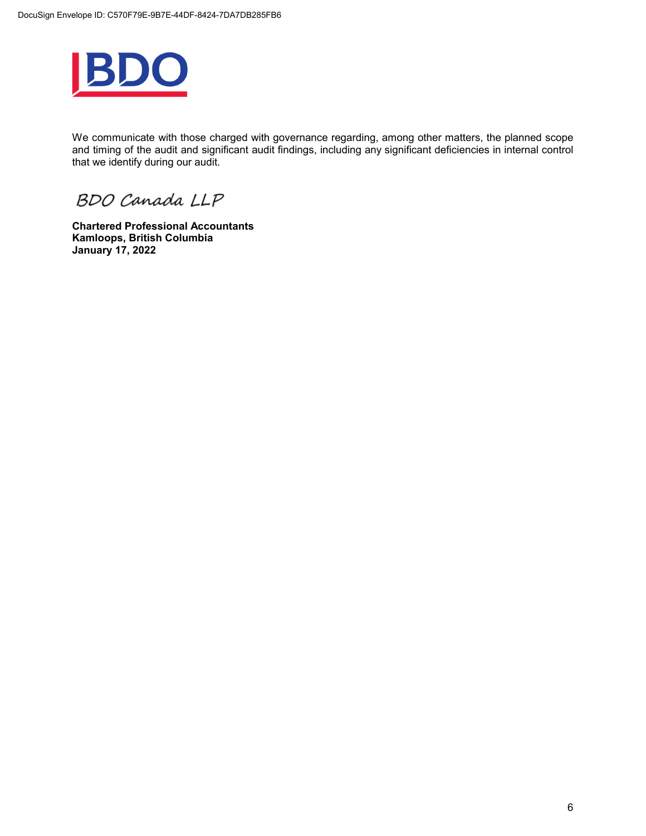

We communicate with those charged with governance regarding, among other matters, the planned scope and timing of the audit and significant audit findings, including any significant deficiencies in internal control that we identify during our audit.

BDO Canada LLP

**Chartered Professional Accountants Kamloops, British Columbia January 17, 2022**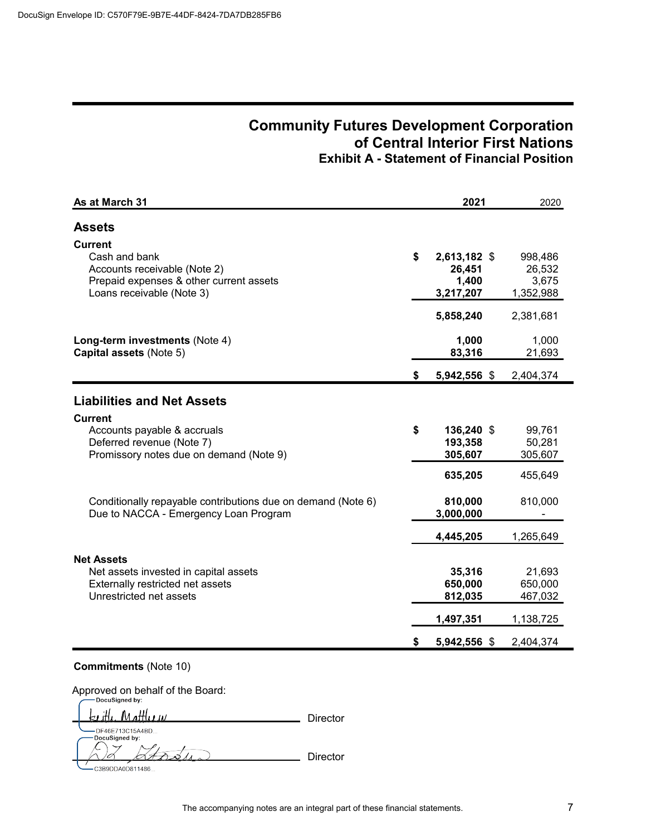## **Community Futures Development Corporation of Central Interior First Nations Exhibit A - Statement of Financial Position**

| As at March 31                                                                                                                          |    | 2021                                         | 2020                                      |
|-----------------------------------------------------------------------------------------------------------------------------------------|----|----------------------------------------------|-------------------------------------------|
| <b>Assets</b>                                                                                                                           |    |                                              |                                           |
| <b>Current</b><br>Cash and bank<br>Accounts receivable (Note 2)<br>Prepaid expenses & other current assets<br>Loans receivable (Note 3) | \$ | 2,613,182 \$<br>26,451<br>1,400<br>3,217,207 | 998,486<br>26,532<br>3,675<br>1,352,988   |
|                                                                                                                                         |    | 5,858,240                                    | 2,381,681                                 |
| Long-term investments (Note 4)<br>Capital assets (Note 5)                                                                               |    | 1,000<br>83,316                              | 1,000<br>21,693                           |
|                                                                                                                                         | \$ | 5,942,556 \$                                 | 2,404,374                                 |
| <b>Liabilities and Net Assets</b>                                                                                                       |    |                                              |                                           |
| <b>Current</b><br>Accounts payable & accruals<br>Deferred revenue (Note 7)<br>Promissory notes due on demand (Note 9)                   | \$ | 136,240 \$<br>193,358<br>305,607             | 99,761<br>50,281<br>305,607               |
| Conditionally repayable contributions due on demand (Note 6)<br>Due to NACCA - Emergency Loan Program                                   |    | 635,205<br>810,000<br>3,000,000              | 455,649<br>810,000                        |
|                                                                                                                                         |    | 4,445,205                                    | 1,265,649                                 |
| <b>Net Assets</b><br>Net assets invested in capital assets<br>Externally restricted net assets<br>Unrestricted net assets               |    | 35,316<br>650,000<br>812,035<br>1,497,351    | 21,693<br>650,000<br>467,032<br>1,138,725 |
|                                                                                                                                         | S  | 5,942,556 \$                                 | 2,404,374                                 |

### **Commitments** (Note 10)

 $\epsilon$ 

Approved on behalf of the Board:<br>
Pocusigned by:

| <u>keith Matthew</u> | Director |
|----------------------|----------|
| DFA6E713C15A4BD      |          |
| -DocuSigned by:      |          |

Ltoste C3B9DDA0D811486...

Director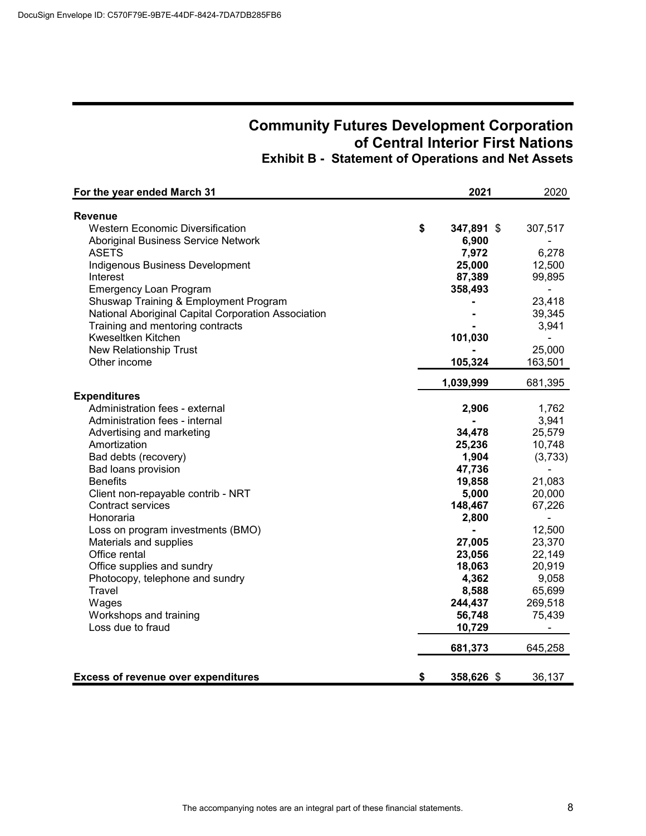# **Community Futures Development Corporation of Central Interior First Nations Exhibit B - Statement of Operations and Net Assets**

| For the year ended March 31                         | 2021             | 2020           |
|-----------------------------------------------------|------------------|----------------|
| Revenue                                             |                  |                |
| <b>Western Economic Diversification</b>             | \$<br>347,891 \$ | 307,517        |
| Aboriginal Business Service Network                 | 6,900            |                |
| <b>ASETS</b>                                        | 7,972            | 6,278          |
| Indigenous Business Development                     | 25,000           | 12,500         |
| Interest                                            | 87,389           | 99,895         |
| <b>Emergency Loan Program</b>                       | 358,493          |                |
| Shuswap Training & Employment Program               |                  | 23,418         |
| National Aboriginal Capital Corporation Association |                  | 39,345         |
| Training and mentoring contracts                    |                  | 3,941          |
| Kweseltken Kitchen                                  | 101,030          |                |
| <b>New Relationship Trust</b>                       |                  | 25,000         |
| Other income                                        | 105,324          | 163,501        |
|                                                     | 1,039,999        | 681,395        |
| <b>Expenditures</b>                                 |                  |                |
| Administration fees - external                      | 2,906            | 1,762          |
| Administration fees - internal                      |                  | 3,941          |
| Advertising and marketing                           | 34,478           | 25,579         |
| Amortization                                        | 25,236           | 10,748         |
| Bad debts (recovery)                                | 1,904            | (3,733)        |
| Bad loans provision                                 | 47,736           |                |
| <b>Benefits</b>                                     | 19,858           | 21,083         |
| Client non-repayable contrib - NRT                  | 5,000            | 20,000         |
| <b>Contract services</b>                            | 148,467          | 67,226         |
| Honoraria                                           | 2,800            | $\blacksquare$ |
| Loss on program investments (BMO)                   | ۰                | 12,500         |
| Materials and supplies                              | 27,005           | 23,370         |
| Office rental                                       | 23,056           | 22,149         |
| Office supplies and sundry                          | 18,063           | 20,919         |
| Photocopy, telephone and sundry                     | 4,362            | 9,058          |
| Travel                                              | 8,588            | 65,699         |
| Wages                                               | 244,437          | 269,518        |
| Workshops and training                              | 56,748           | 75,439         |
| Loss due to fraud                                   | 10,729           | ÷              |
|                                                     | 681,373          | 645,258        |
| <b>Excess of revenue over expenditures</b>          | \$<br>358,626 \$ | 36,137         |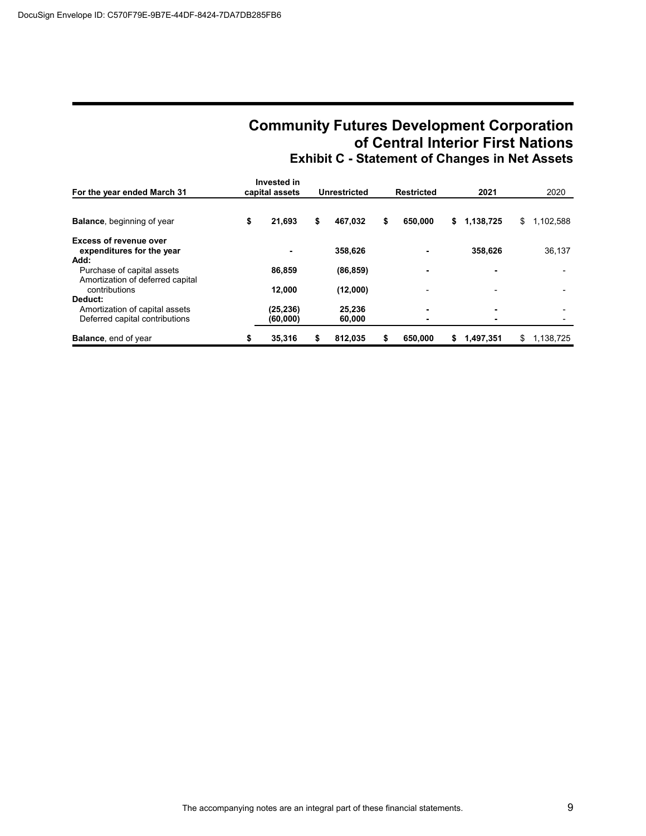# **Community Futures Development Corporation of Central Interior First Nations Exhibit C - Statement of Changes in Net Assets**

| For the year ended March 31                                                                  | Invested in<br>capital assets   | Unrestricted                 | Restricted    |    | 2021      |    | 2020      |
|----------------------------------------------------------------------------------------------|---------------------------------|------------------------------|---------------|----|-----------|----|-----------|
| <b>Balance, beginning of year</b>                                                            | \$<br>21,693                    | \$<br>467.032                | \$<br>650,000 | \$ | 1,138,725 | \$ | 1,102,588 |
| <b>Excess of revenue over</b><br>expenditures for the year<br>Add:                           |                                 | 358,626                      |               |    | 358,626   |    | 36,137    |
| Purchase of capital assets<br>Amortization of deferred capital                               | 86,859                          | (86, 859)                    | ۰             |    |           |    |           |
| contributions<br>Deduct:<br>Amortization of capital assets<br>Deferred capital contributions | 12,000<br>(25, 236)<br>(60,000) | (12,000)<br>25,236<br>60,000 | ۰.            |    | ۰         |    | -         |
| <b>Balance, end of year</b>                                                                  | \$<br>35,316                    | \$<br>812.035                | \$<br>650,000 | 5  | 1,497,351 | S  | 1.138.725 |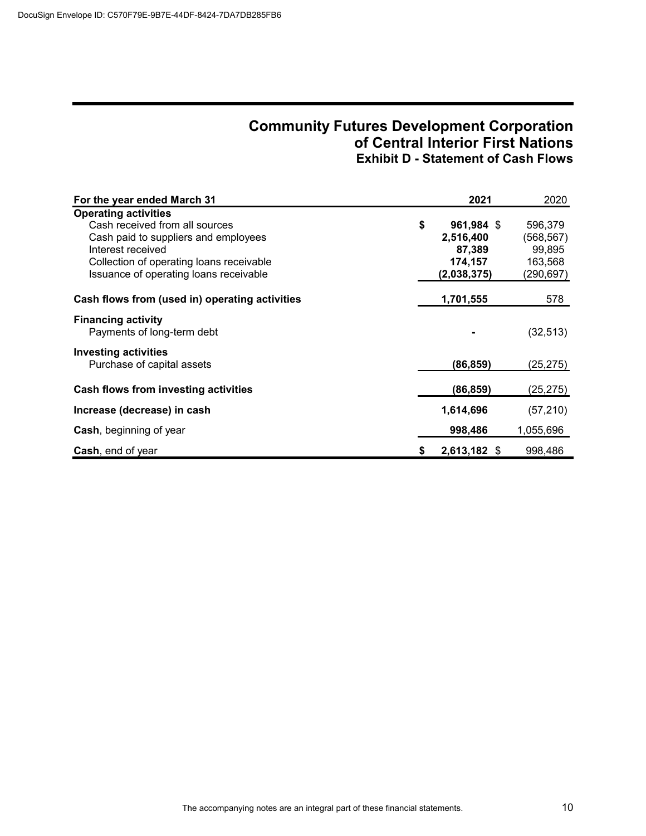# **Community Futures Development Corporation of Central Interior First Nations Exhibit D - Statement of Cash Flows**

| For the year ended March 31                             |    | 2021         | 2020       |
|---------------------------------------------------------|----|--------------|------------|
| <b>Operating activities</b>                             |    |              |            |
| Cash received from all sources                          | \$ | 961,984 \$   | 596,379    |
| Cash paid to suppliers and employees                    |    | 2,516,400    | (568, 567) |
| Interest received                                       |    | 87,389       | 99,895     |
| Collection of operating loans receivable                |    | 174,157      | 163,568    |
| Issuance of operating loans receivable                  |    | (2,038,375)  | (290,697)  |
| Cash flows from (used in) operating activities          |    | 1,701,555    | 578        |
| <b>Financing activity</b><br>Payments of long-term debt |    |              | (32, 513)  |
| <b>Investing activities</b>                             |    |              |            |
| Purchase of capital assets                              |    | (86,859)     | (25, 275)  |
| Cash flows from investing activities                    |    | (86,859)     | (25, 275)  |
| Increase (decrease) in cash                             |    | 1,614,696    | (57, 210)  |
| <b>Cash, beginning of year</b>                          |    | 998,486      | 1,055,696  |
| <b>Cash, end of year</b>                                | S  | 2,613,182 \$ | 998,486    |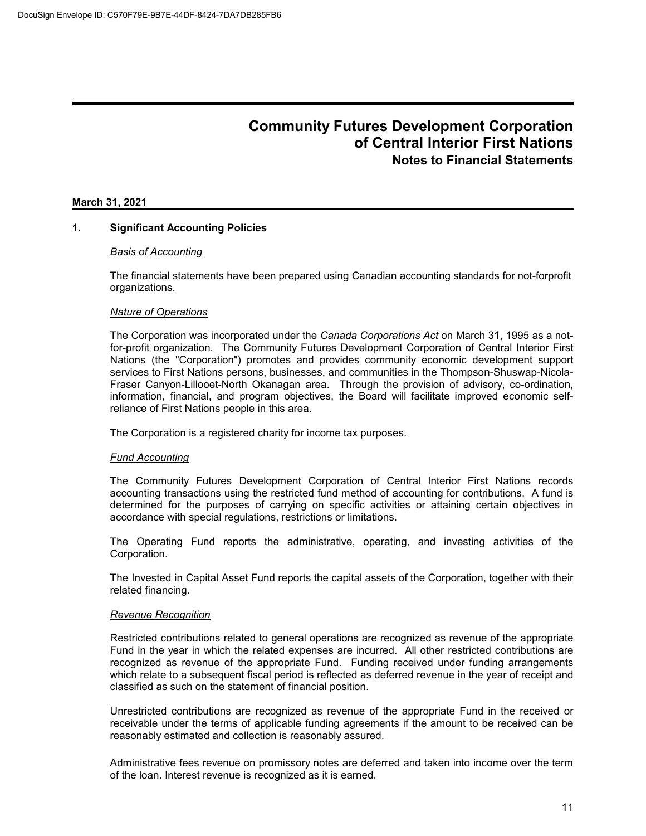#### **March 31, 2021**

### **1. Significant Accounting Policies**

#### *Basis of Accounting*

The financial statements have been prepared using Canadian accounting standards for not-forprofit organizations.

#### *Nature of Operations*

The Corporation was incorporated under the *Canada Corporations Act* on March 31, 1995 as a notfor-profit organization. The Community Futures Development Corporation of Central Interior First Nations (the "Corporation") promotes and provides community economic development support services to First Nations persons, businesses, and communities in the Thompson-Shuswap-Nicola-Fraser Canyon-Lillooet-North Okanagan area. Through the provision of advisory, co-ordination, information, financial, and program objectives, the Board will facilitate improved economic selfreliance of First Nations people in this area.

The Corporation is a registered charity for income tax purposes.

#### *Fund Accounting*

The Community Futures Development Corporation of Central Interior First Nations records accounting transactions using the restricted fund method of accounting for contributions. A fund is determined for the purposes of carrying on specific activities or attaining certain objectives in accordance with special regulations, restrictions or limitations.

The Operating Fund reports the administrative, operating, and investing activities of the Corporation.

The Invested in Capital Asset Fund reports the capital assets of the Corporation, together with their related financing.

#### *Revenue Recognition*

Restricted contributions related to general operations are recognized as revenue of the appropriate Fund in the year in which the related expenses are incurred. All other restricted contributions are recognized as revenue of the appropriate Fund. Funding received under funding arrangements which relate to a subsequent fiscal period is reflected as deferred revenue in the year of receipt and classified as such on the statement of financial position.

Unrestricted contributions are recognized as revenue of the appropriate Fund in the received or receivable under the terms of applicable funding agreements if the amount to be received can be reasonably estimated and collection is reasonably assured.

Administrative fees revenue on promissory notes are deferred and taken into income over the term of the loan. Interest revenue is recognized as it is earned.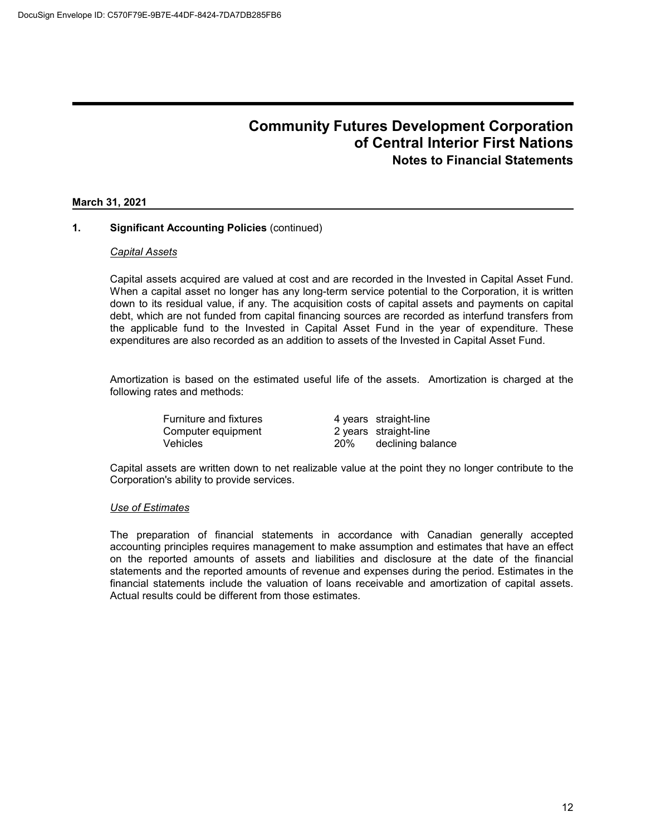#### **March 31, 2021**

### **1. Significant Accounting Policies** (continued)

#### *Capital Assets*

Capital assets acquired are valued at cost and are recorded in the Invested in Capital Asset Fund. When a capital asset no longer has any long-term service potential to the Corporation, it is written down to its residual value, if any. The acquisition costs of capital assets and payments on capital debt, which are not funded from capital financing sources are recorded as interfund transfers from the applicable fund to the Invested in Capital Asset Fund in the year of expenditure. These expenditures are also recorded as an addition to assets of the Invested in Capital Asset Fund.

Amortization is based on the estimated useful life of the assets. Amortization is charged at the following rates and methods:

| <b>Furniture and fixtures</b> |            | 4 years straight-line |
|-------------------------------|------------|-----------------------|
| Computer equipment            |            | 2 years straight-line |
| <b>Vehicles</b>               | <b>20%</b> | declining balance     |

Capital assets are written down to net realizable value at the point they no longer contribute to the Corporation's ability to provide services.

### *Use of Estimates*

The preparation of financial statements in accordance with Canadian generally accepted accounting principles requires management to make assumption and estimates that have an effect on the reported amounts of assets and liabilities and disclosure at the date of the financial statements and the reported amounts of revenue and expenses during the period. Estimates in the financial statements include the valuation of loans receivable and amortization of capital assets. Actual results could be different from those estimates.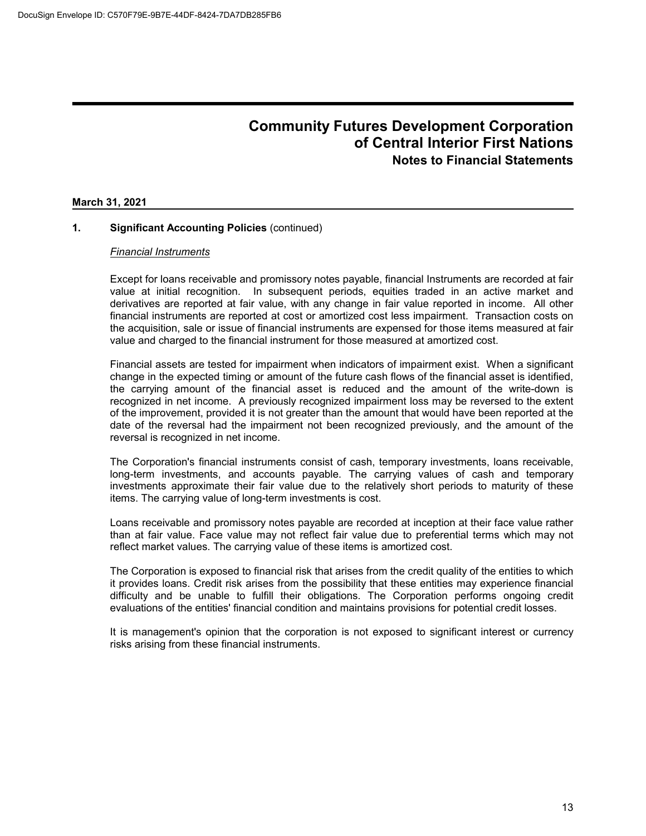#### **March 31, 2021**

### **1. Significant Accounting Policies** (continued)

#### *Financial Instruments*

Except for loans receivable and promissory notes payable, financial Instruments are recorded at fair value at initial recognition. In subsequent periods, equities traded in an active market and derivatives are reported at fair value, with any change in fair value reported in income. All other financial instruments are reported at cost or amortized cost less impairment. Transaction costs on the acquisition, sale or issue of financial instruments are expensed for those items measured at fair value and charged to the financial instrument for those measured at amortized cost.

Financial assets are tested for impairment when indicators of impairment exist. When a significant change in the expected timing or amount of the future cash flows of the financial asset is identified, the carrying amount of the financial asset is reduced and the amount of the write-down is recognized in net income. A previously recognized impairment loss may be reversed to the extent of the improvement, provided it is not greater than the amount that would have been reported at the date of the reversal had the impairment not been recognized previously, and the amount of the reversal is recognized in net income.

The Corporation's financial instruments consist of cash, temporary investments, loans receivable, long-term investments, and accounts payable. The carrying values of cash and temporary investments approximate their fair value due to the relatively short periods to maturity of these items. The carrying value of long-term investments is cost.

Loans receivable and promissory notes payable are recorded at inception at their face value rather than at fair value. Face value may not reflect fair value due to preferential terms which may not reflect market values. The carrying value of these items is amortized cost.

The Corporation is exposed to financial risk that arises from the credit quality of the entities to which it provides loans. Credit risk arises from the possibility that these entities may experience financial difficulty and be unable to fulfill their obligations. The Corporation performs ongoing credit evaluations of the entities' financial condition and maintains provisions for potential credit losses.

It is management's opinion that the corporation is not exposed to significant interest or currency risks arising from these financial instruments.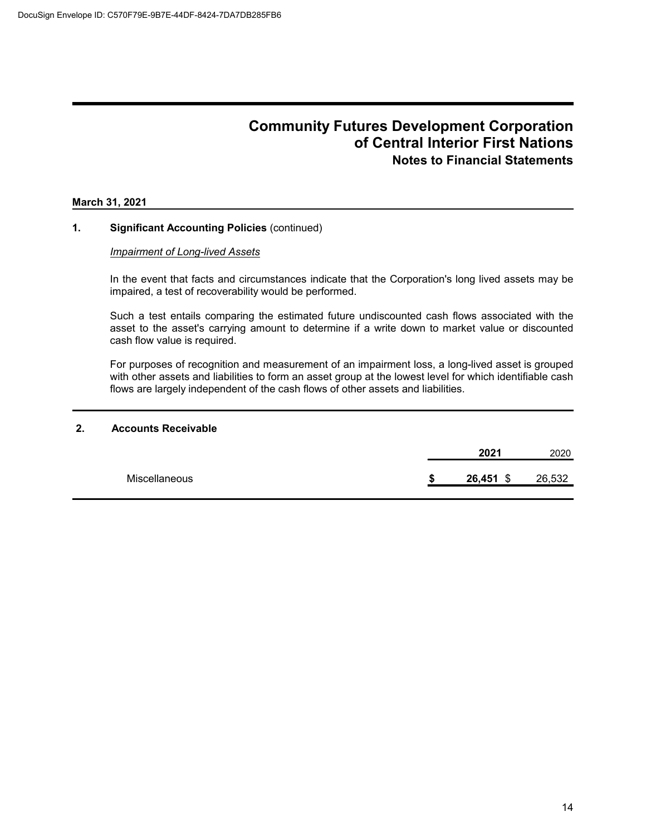#### **March 31, 2021**

### **1. Significant Accounting Policies** (continued)

#### *Impairment of Long-lived Assets*

In the event that facts and circumstances indicate that the Corporation's long lived assets may be impaired, a test of recoverability would be performed.

Such a test entails comparing the estimated future undiscounted cash flows associated with the asset to the asset's carrying amount to determine if a write down to market value or discounted cash flow value is required.

For purposes of recognition and measurement of an impairment loss, a long-lived asset is grouped with other assets and liabilities to form an asset group at the lowest level for which identifiable cash flows are largely independent of the cash flows of other assets and liabilities.

#### **2. Accounts Receivable**

|               | 2021        | 2020   |
|---------------|-------------|--------|
| Miscellaneous | $26,451$ \$ | 26,532 |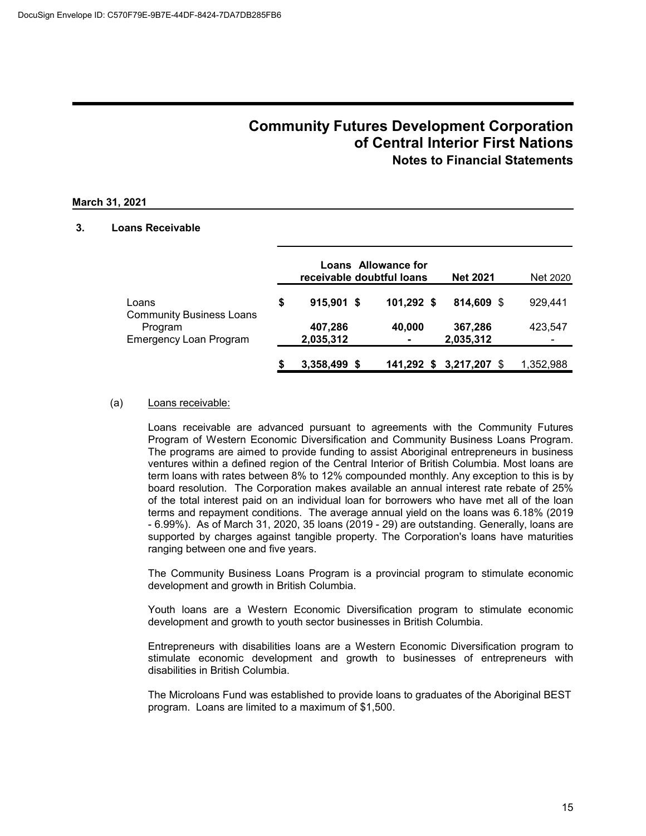### **March 31, 2021**

### **3. Loans Receivable**

|                                          |   |                      | Loans Allowance for<br>receivable doubtful loans | <b>Net 2021</b>         | Net 2020  |
|------------------------------------------|---|----------------------|--------------------------------------------------|-------------------------|-----------|
| Loans<br><b>Community Business Loans</b> | S | $915,901$ \$         | 101,292 \$                                       | 814,609 \$              | 929,441   |
| Program<br><b>Emergency Loan Program</b> |   | 407,286<br>2,035,312 | 40,000                                           | 367,286<br>2,035,312    | 423.547   |
|                                          |   | 3,358,499 \$         |                                                  | 141,292 \$ 3,217,207 \$ | 1,352,988 |

#### (a) Loans receivable:

Loans receivable are advanced pursuant to agreements with the Community Futures Program of Western Economic Diversification and Community Business Loans Program. The programs are aimed to provide funding to assist Aboriginal entrepreneurs in business ventures within a defined region of the Central Interior of British Columbia. Most loans are term loans with rates between 8% to 12% compounded monthly. Any exception to this is by board resolution. The Corporation makes available an annual interest rate rebate of 25% of the total interest paid on an individual loan for borrowers who have met all of the loan terms and repayment conditions. The average annual yield on the loans was 6.18% (2019 - 6.99%). As of March 31, 2020, 35 loans (2019 - 29) are outstanding. Generally, loans are supported by charges against tangible property. The Corporation's loans have maturities ranging between one and five years.

The Community Business Loans Program is a provincial program to stimulate economic development and growth in British Columbia.

Youth loans are a Western Economic Diversification program to stimulate economic development and growth to youth sector businesses in British Columbia.

Entrepreneurs with disabilities loans are a Western Economic Diversification program to stimulate economic development and growth to businesses of entrepreneurs with disabilities in British Columbia.

The Microloans Fund was established to provide loans to graduates of the Aboriginal BEST program. Loans are limited to a maximum of \$1,500.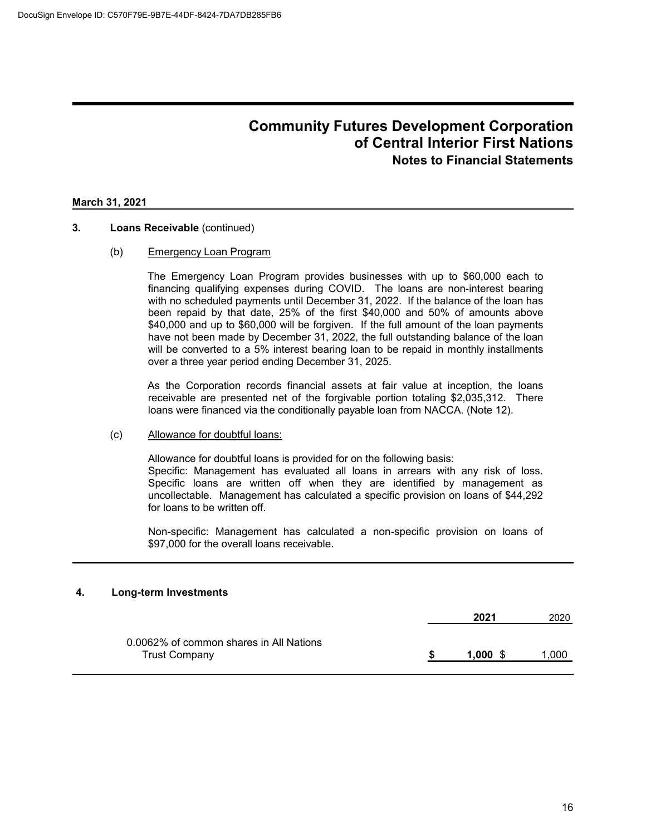#### **March 31, 2021**

#### **3. Loans Receivable** (continued)

#### (b) Emergency Loan Program

The Emergency Loan Program provides businesses with up to \$60,000 each to financing qualifying expenses during COVID. The loans are non-interest bearing with no scheduled payments until December 31, 2022. If the balance of the loan has been repaid by that date, 25% of the first \$40,000 and 50% of amounts above \$40,000 and up to \$60,000 will be forgiven. If the full amount of the loan payments have not been made by December 31, 2022, the full outstanding balance of the loan will be converted to a 5% interest bearing loan to be repaid in monthly installments over a three year period ending December 31, 2025.

As the Corporation records financial assets at fair value at inception, the loans receivable are presented net of the forgivable portion totaling \$2,035,312. There loans were financed via the conditionally payable loan from NACCA. (Note 12).

#### (c) Allowance for doubtful loans:

Allowance for doubtful loans is provided for on the following basis: Specific: Management has evaluated all loans in arrears with any risk of loss. Specific loans are written off when they are identified by management as uncollectable. Management has calculated a specific provision on loans of \$44,292 for loans to be written off.

Non-specific: Management has calculated a non-specific provision on loans of \$97,000 for the overall loans receivable.

#### **4. Long-term Investments**

|                                                                 | 2021  | 2020 |
|-----------------------------------------------------------------|-------|------|
| 0.0062% of common shares in All Nations<br><b>Trust Company</b> | 1.000 | .000 |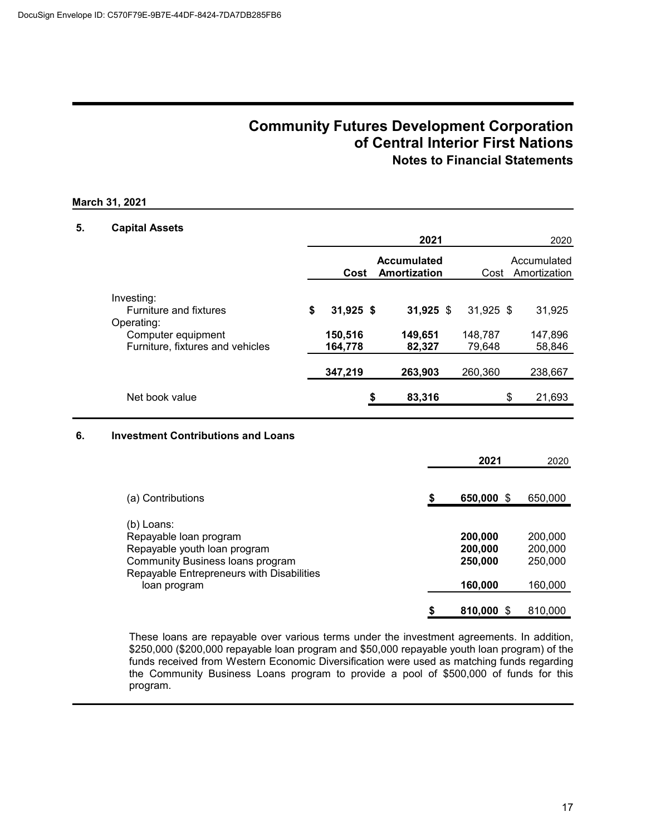#### **March 31, 2021**

### **5. Capital Assets**

| <b>OUNIUI FOUUU</b>                                                                                                 |                                         | 2021                               |                                  | 2020                        |
|---------------------------------------------------------------------------------------------------------------------|-----------------------------------------|------------------------------------|----------------------------------|-----------------------------|
|                                                                                                                     | Cost                                    | <b>Accumulated</b><br>Amortization | Cost                             | Accumulated<br>Amortization |
| Investing:<br><b>Furniture and fixtures</b><br>Operating:<br>Computer equipment<br>Furniture, fixtures and vehicles | \$<br>$31,925$ \$<br>150,516<br>164,778 | $31,925$ \$<br>149,651<br>82,327   | $31,925$ \$<br>148,787<br>79,648 | 31,925<br>147,896<br>58,846 |
|                                                                                                                     | 347,219                                 | 263,903                            | 260,360                          | 238,667                     |
| Net book value                                                                                                      |                                         | \$<br>83,316                       |                                  | \$<br>21,693                |

### **6. Investment Contributions and Loans**

|                                                                                                                                                       | 2021                          | 2020                          |
|-------------------------------------------------------------------------------------------------------------------------------------------------------|-------------------------------|-------------------------------|
| (a) Contributions                                                                                                                                     | 650,000 \$                    | 650,000                       |
|                                                                                                                                                       |                               |                               |
| (b) Loans:<br>Repayable loan program<br>Repayable youth loan program<br>Community Business loans program<br>Repayable Entrepreneurs with Disabilities | 200,000<br>200,000<br>250,000 | 200,000<br>200,000<br>250,000 |
| loan program                                                                                                                                          | 160,000                       | 160,000                       |
|                                                                                                                                                       | 810,000 \$                    | 810,000                       |

These loans are repayable over various terms under the investment agreements. In addition, \$250,000 (\$200,000 repayable loan program and \$50,000 repayable youth loan program) of the funds received from Western Economic Diversification were used as matching funds regarding the Community Business Loans program to provide a pool of \$500,000 of funds for this program.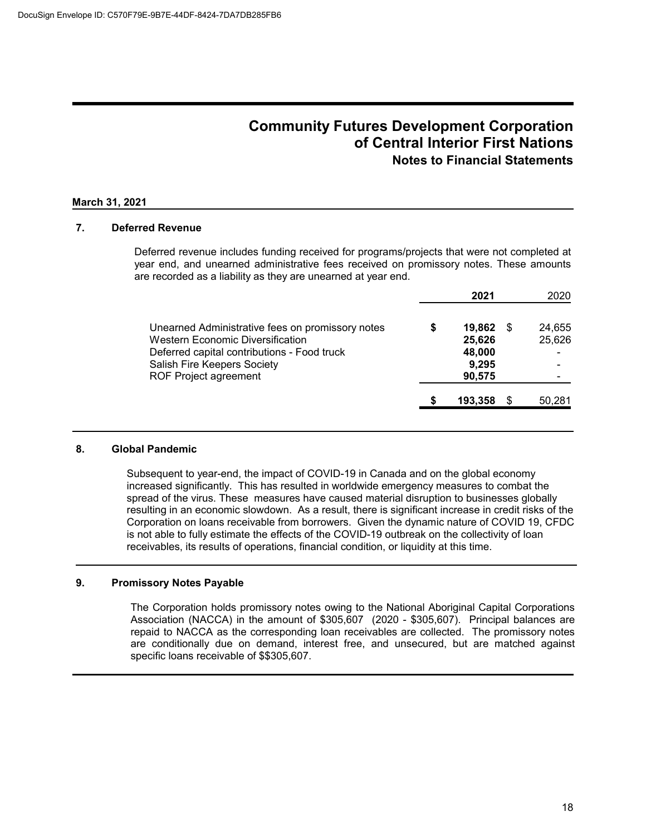#### **March 31, 2021**

### **7. Deferred Revenue**

Deferred revenue includes funding received for programs/projects that were not completed at year end, and unearned administrative fees received on promissory notes. These amounts are recorded as a liability as they are unearned at year end.

|                                                                                                                                                                                                           |    | 2021                                          |   | 2020             |
|-----------------------------------------------------------------------------------------------------------------------------------------------------------------------------------------------------------|----|-----------------------------------------------|---|------------------|
| Unearned Administrative fees on promissory notes<br><b>Western Economic Diversification</b><br>Deferred capital contributions - Food truck<br>Salish Fire Keepers Society<br><b>ROF Project agreement</b> | \$ | 19,862<br>25,626<br>48,000<br>9,295<br>90,575 | S | 24,655<br>25,626 |
|                                                                                                                                                                                                           | S  | 193.358                                       |   | 50,281           |

#### **8. Global Pandemic**

Subsequent to year-end, the impact of COVID-19 in Canada and on the global economy increased significantly. This has resulted in worldwide emergency measures to combat the spread of the virus. These measures have caused material disruption to businesses globally resulting in an economic slowdown. As a result, there is significant increase in credit risks of the Corporation on loans receivable from borrowers. Given the dynamic nature of COVID 19, CFDC is not able to fully estimate the effects of the COVID-19 outbreak on the collectivity of loan receivables, its results of operations, financial condition, or liquidity at this time.

#### **9. Promissory Notes Payable**

The Corporation holds promissory notes owing to the National Aboriginal Capital Corporations Association (NACCA) in the amount of \$305,607 (2020 - \$305,607). Principal balances are repaid to NACCA as the corresponding loan receivables are collected. The promissory notes are conditionally due on demand, interest free, and unsecured, but are matched against specific loans receivable of \$\$305,607.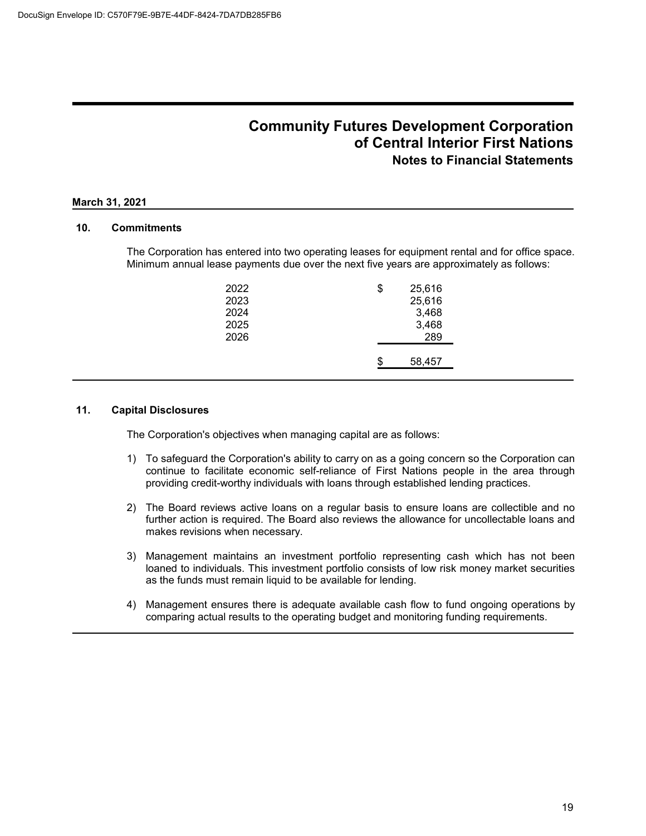#### **March 31, 2021**

### **10. Commitments**

The Corporation has entered into two operating leases for equipment rental and for office space. Minimum annual lease payments due over the next five years are approximately as follows:

| 2022 | \$<br>25,616 |
|------|--------------|
| 2023 | 25,616       |
| 2024 | 3,468        |
| 2025 | 3,468        |
| 2026 | 289          |
|      |              |
|      | 58,457       |
|      |              |

### **11. Capital Disclosures**

The Corporation's objectives when managing capital are as follows:

- 1) To safeguard the Corporation's ability to carry on as a going concern so the Corporation can continue to facilitate economic self-reliance of First Nations people in the area through providing credit-worthy individuals with loans through established lending practices.
- 2) The Board reviews active loans on a regular basis to ensure loans are collectible and no further action is required. The Board also reviews the allowance for uncollectable loans and makes revisions when necessary.
- 3) Management maintains an investment portfolio representing cash which has not been loaned to individuals. This investment portfolio consists of low risk money market securities as the funds must remain liquid to be available for lending.
- 4) Management ensures there is adequate available cash flow to fund ongoing operations by comparing actual results to the operating budget and monitoring funding requirements.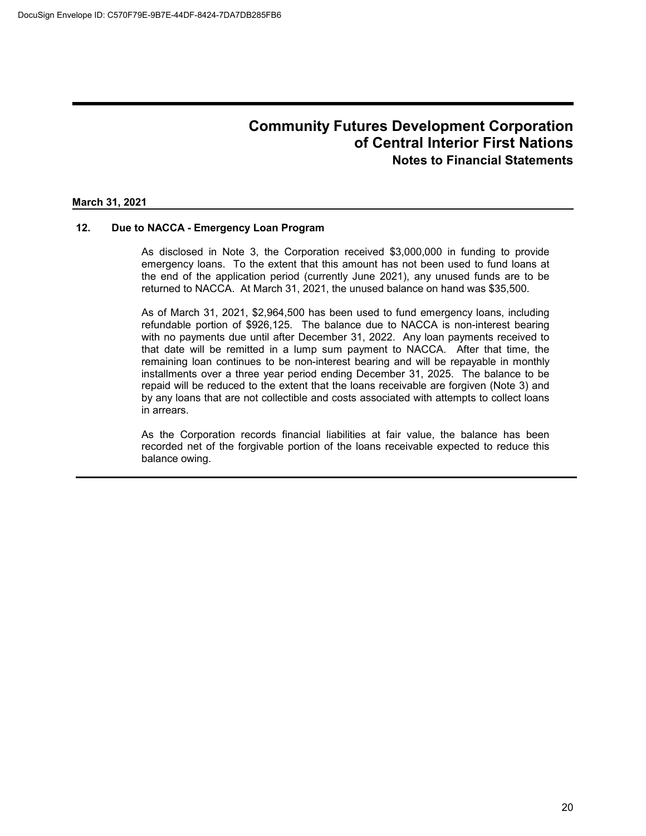#### **March 31, 2021**

### **12. Due to NACCA - Emergency Loan Program**

As disclosed in Note 3, the Corporation received \$3,000,000 in funding to provide emergency loans. To the extent that this amount has not been used to fund loans at the end of the application period (currently June 2021), any unused funds are to be returned to NACCA. At March 31, 2021, the unused balance on hand was \$35,500.

As of March 31, 2021, \$2,964,500 has been used to fund emergency loans, including refundable portion of \$926,125. The balance due to NACCA is non-interest bearing with no payments due until after December 31, 2022. Any loan payments received to that date will be remitted in a lump sum payment to NACCA. After that time, the remaining loan continues to be non-interest bearing and will be repayable in monthly installments over a three year period ending December 31, 2025. The balance to be repaid will be reduced to the extent that the loans receivable are forgiven (Note 3) and by any loans that are not collectible and costs associated with attempts to collect loans in arrears.

As the Corporation records financial liabilities at fair value, the balance has been recorded net of the forgivable portion of the loans receivable expected to reduce this balance owing.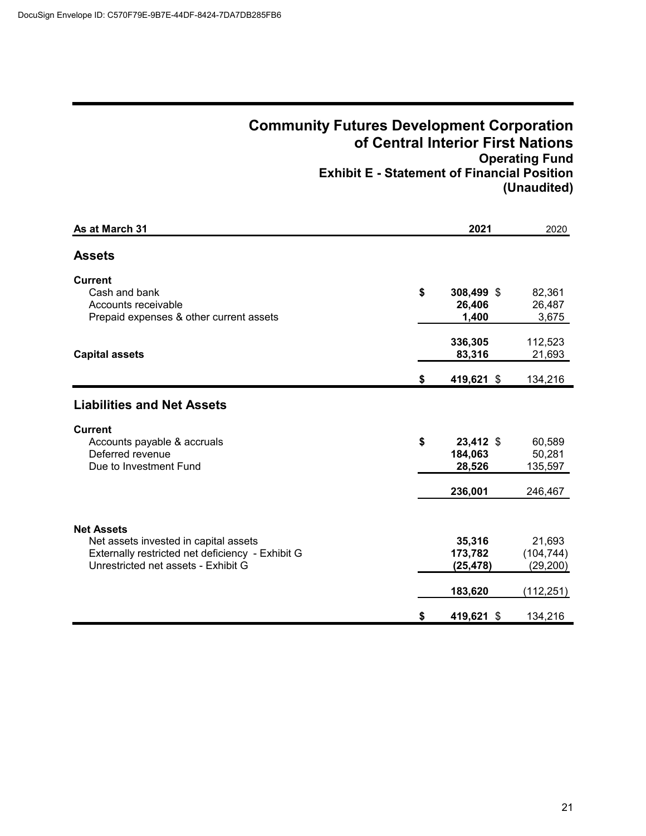## **Community Futures Development Corporation of Central Interior First Nations Operating Fund Exhibit E - Statement of Financial Position (Unaudited)**

| As at March 31                                                                                                                                        | 2021                                      | 2020                                           |
|-------------------------------------------------------------------------------------------------------------------------------------------------------|-------------------------------------------|------------------------------------------------|
| <b>Assets</b>                                                                                                                                         |                                           |                                                |
| <b>Current</b><br>Cash and bank<br>Accounts receivable<br>Prepaid expenses & other current assets                                                     | \$<br>308,499 \$<br>26,406<br>1,400       | 82,361<br>26,487<br>3,675                      |
| <b>Capital assets</b>                                                                                                                                 | 336,305<br>83,316                         | 112,523<br>21,693                              |
|                                                                                                                                                       | \$<br>419,621 \$                          | 134,216                                        |
| <b>Liabilities and Net Assets</b>                                                                                                                     |                                           |                                                |
| <b>Current</b><br>Accounts payable & accruals<br>Deferred revenue<br>Due to Investment Fund                                                           | \$<br>23,412 \$<br>184,063<br>28,526      | 60,589<br>50,281<br>135,597                    |
|                                                                                                                                                       | 236,001                                   | 246,467                                        |
| <b>Net Assets</b><br>Net assets invested in capital assets<br>Externally restricted net deficiency - Exhibit G<br>Unrestricted net assets - Exhibit G | 35,316<br>173,782<br>(25, 478)<br>183,620 | 21,693<br>(104, 744)<br>(29, 200)<br>(112,251) |
|                                                                                                                                                       | \$<br>419,621 \$                          | 134,216                                        |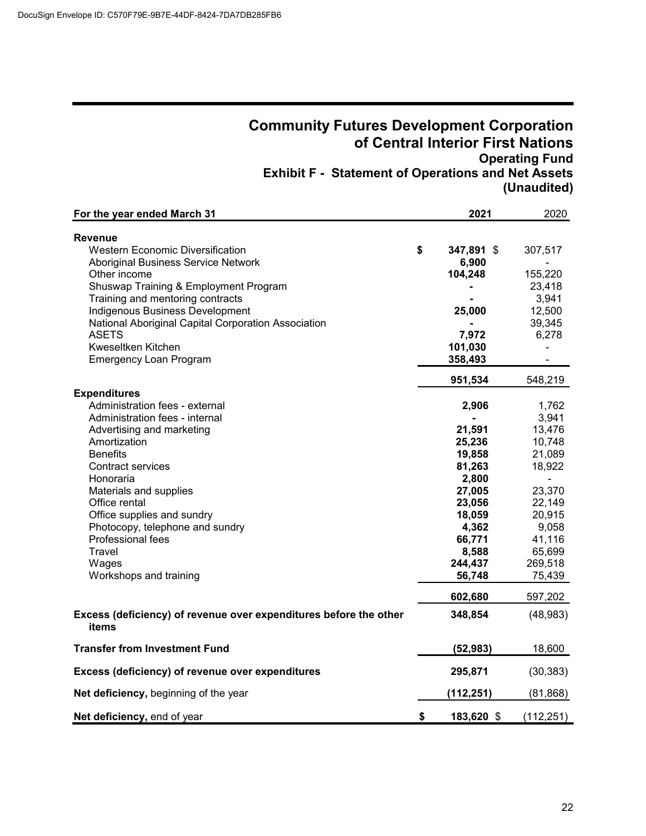## **Community Futures Development Corporation of Central Interior First Nations Operating Fund Exhibit F - Statement of Operations and Net Assets (Unaudited)**

| For the year ended March 31                                                | 2021             | 2020       |
|----------------------------------------------------------------------------|------------------|------------|
| <b>Revenue</b>                                                             |                  |            |
| <b>Western Economic Diversification</b>                                    | \$<br>347,891 \$ | 307,517    |
| Aboriginal Business Service Network                                        | 6,900            |            |
| Other income                                                               | 104,248          | 155,220    |
| Shuswap Training & Employment Program                                      |                  | 23,418     |
| Training and mentoring contracts                                           |                  | 3,941      |
| Indigenous Business Development                                            | 25,000           | 12,500     |
| National Aboriginal Capital Corporation Association                        |                  | 39,345     |
| <b>ASETS</b>                                                               | 7,972            | 6,278      |
| Kweseltken Kitchen                                                         | 101,030          |            |
| <b>Emergency Loan Program</b>                                              | 358,493          |            |
|                                                                            | 951,534          | 548,219    |
| <b>Expenditures</b>                                                        |                  |            |
| Administration fees - external                                             | 2,906            | 1,762      |
| Administration fees - internal                                             |                  | 3,941      |
| Advertising and marketing                                                  | 21,591           | 13,476     |
| Amortization                                                               | 25,236           | 10,748     |
| <b>Benefits</b>                                                            | 19,858           | 21,089     |
| Contract services                                                          | 81,263           | 18,922     |
| Honoraria                                                                  | 2,800            |            |
| Materials and supplies                                                     | 27,005           | 23,370     |
| Office rental                                                              | 23,056           | 22,149     |
| Office supplies and sundry                                                 | 18,059           | 20,915     |
| Photocopy, telephone and sundry                                            | 4,362            | 9,058      |
| Professional fees                                                          | 66,771           | 41,116     |
| Travel                                                                     | 8,588            | 65,699     |
| Wages                                                                      | 244,437          | 269,518    |
| Workshops and training                                                     | 56,748           | 75,439     |
|                                                                            | 602,680          | 597,202    |
| Excess (deficiency) of revenue over expenditures before the other<br>items | 348,854          | (48, 983)  |
| <b>Transfer from Investment Fund</b>                                       | (52, 983)        | 18,600     |
| Excess (deficiency) of revenue over expenditures                           | 295,871          | (30, 383)  |
| Net deficiency, beginning of the year                                      | (112, 251)       | (81, 868)  |
| Net deficiency, end of year                                                | \$<br>183,620 \$ | (112, 251) |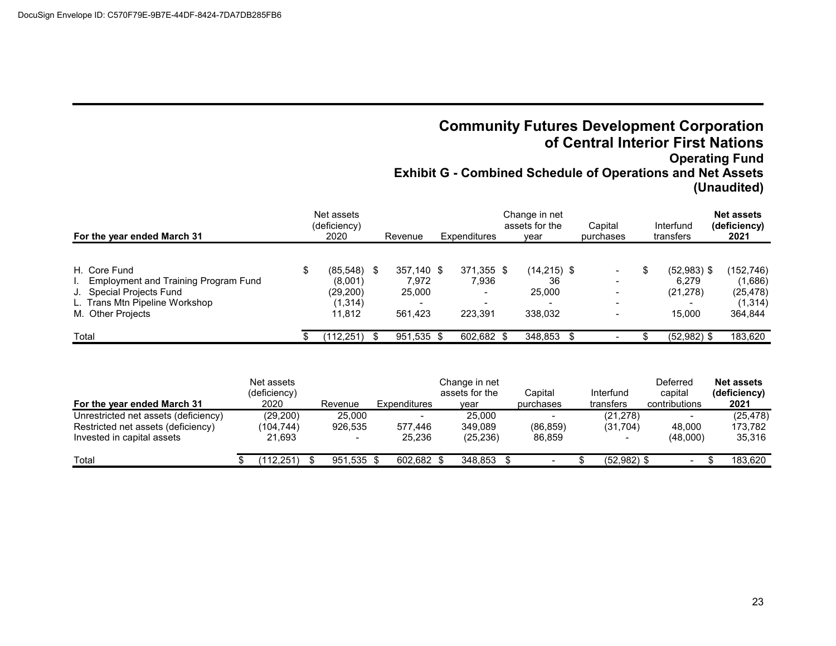## **Community Futures Development Corporation of Central Interior First Nations Operating Fund Exhibit G - Combined Schedule of Operations and Net Assets (Unaudited)**

| For the year ended March 31                                                                                                             | Net assets<br>(deficiency)<br>2020                         | Revenue                                  | Expenditures                                                       | Change in net<br>assets for the<br>vear  | Capital<br>purchases                                                 | Interfund<br>transfers                        | <b>Net assets</b><br>(deficiency)<br>2021               |
|-----------------------------------------------------------------------------------------------------------------------------------------|------------------------------------------------------------|------------------------------------------|--------------------------------------------------------------------|------------------------------------------|----------------------------------------------------------------------|-----------------------------------------------|---------------------------------------------------------|
| H. Core Fund<br>Employment and Training Program Fund<br>J. Special Projects Fund<br>L. Trans Mtn Pipeline Workshop<br>M. Other Projects | $(85,548)$ \$<br>(8,001)<br>(29, 200)<br>(1,314)<br>11.812 | 357,140 \$<br>7.972<br>25,000<br>561.423 | 371,355 \$<br>7.936<br>$\,$<br>$\overline{\phantom{a}}$<br>223.391 | $(14,215)$ \$<br>36<br>25,000<br>338.032 | $\overline{\phantom{a}}$<br>$\blacksquare$<br>$\,$<br>$\sim$<br>$\,$ | $(52,983)$ \$<br>6.279<br>(21, 278)<br>15.000 | (152,746)<br>(1,686)<br>(25, 478)<br>(1,314)<br>364,844 |
| Total                                                                                                                                   | (112, 251)                                                 | 951,535 \$                               | 602,682 \$                                                         | 348,853 \$                               |                                                                      | $(52,982)$ \$                                 | 183,620                                                 |

| For the year ended March 31                                                                              | Net assets<br>(deficiency)<br>2020 | Revenue                                       | Expenditures      | Change in net<br>assets for the<br>vear | Capital<br>purchases | Interfund<br>transfers | Deferred<br>capital<br>contributions | <b>Net assets</b><br>(deficiency)<br>2021 |
|----------------------------------------------------------------------------------------------------------|------------------------------------|-----------------------------------------------|-------------------|-----------------------------------------|----------------------|------------------------|--------------------------------------|-------------------------------------------|
| Unrestricted net assets (deficiency)<br>Restricted net assets (deficiency)<br>Invested in capital assets | (29, 200)<br>(104.744)<br>21,693   | 25,000<br>926.535<br>$\overline{\phantom{0}}$ | 577.446<br>25,236 | 25,000<br>349.089<br>(25, 236)          | (86, 859)<br>86,859  | (21, 278)<br>(31,704)  | 48,000<br>(48,000)                   | (25, 478)<br>173.782<br>35,316            |
| Total                                                                                                    | (112.251)                          | 951.535 \$                                    | 602.682 \$        | 348.853 \$                              |                      | $(52,982)$ \$          |                                      | 183,620                                   |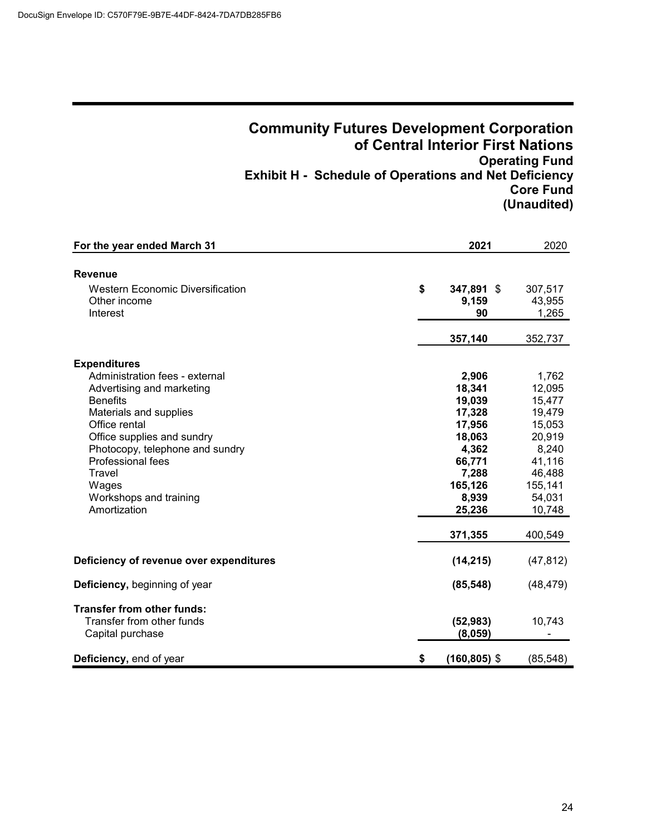### **Community Futures Development Corporation of Central Interior First Nations Operating Fund Exhibit H - Schedule of Operations and Net Deficiency Core Fund (Unaudited)**

| For the year ended March 31             | 2021                  | 2020      |
|-----------------------------------------|-----------------------|-----------|
|                                         |                       |           |
| <b>Revenue</b>                          |                       |           |
| <b>Western Economic Diversification</b> | \$<br>347,891 \$      | 307,517   |
| Other income                            | 9,159                 | 43,955    |
| Interest                                | 90                    | 1,265     |
|                                         | 357,140               | 352,737   |
| <b>Expenditures</b>                     |                       |           |
| Administration fees - external          | 2,906                 | 1,762     |
| Advertising and marketing               | 18,341                | 12,095    |
| <b>Benefits</b>                         | 19,039                | 15,477    |
| Materials and supplies                  | 17,328                | 19,479    |
| Office rental                           | 17,956                | 15,053    |
| Office supplies and sundry              | 18,063                | 20,919    |
| Photocopy, telephone and sundry         | 4,362                 | 8,240     |
| Professional fees                       | 66,771                | 41,116    |
| Travel                                  | 7,288                 | 46,488    |
| Wages                                   | 165,126               | 155,141   |
| Workshops and training                  | 8,939                 | 54,031    |
| Amortization                            | 25,236                | 10,748    |
|                                         | 371,355               | 400,549   |
| Deficiency of revenue over expenditures | (14, 215)             | (47, 812) |
| Deficiency, beginning of year           | (85, 548)             | (48, 479) |
| <b>Transfer from other funds:</b>       |                       |           |
| Transfer from other funds               | (52, 983)             | 10,743    |
| Capital purchase                        | (8,059)               |           |
| Deficiency, end of year                 | \$<br>$(160, 805)$ \$ | (85, 548) |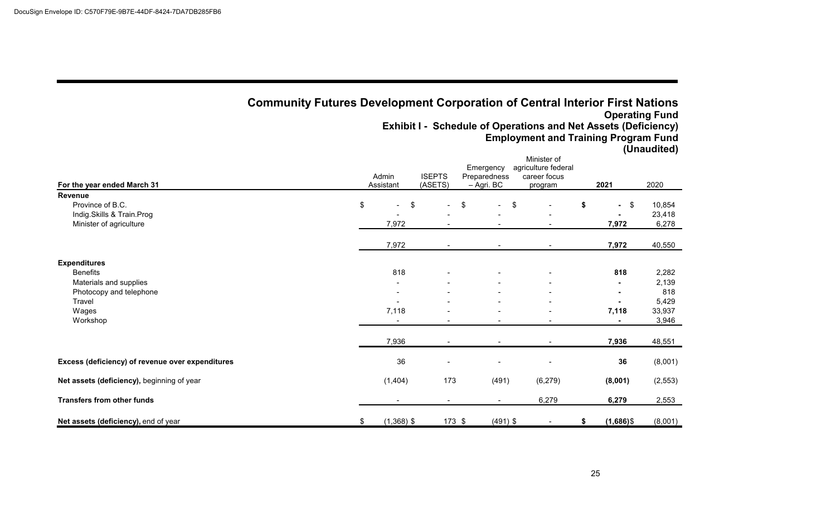|                                                  | <b>Community Futures Development Corporation of Central Interior First Nations</b> |                          | Emergency                  | <b>Exhibit I - Schedule of Operations and Net Assets (Deficiency)</b><br><b>Employment and Training Program Fund</b><br>Minister of<br>agriculture federal |                                       | <b>Operating Fund</b><br>(Unaudited) |
|--------------------------------------------------|------------------------------------------------------------------------------------|--------------------------|----------------------------|------------------------------------------------------------------------------------------------------------------------------------------------------------|---------------------------------------|--------------------------------------|
| For the year ended March 31                      | Admin<br>Assistant                                                                 | <b>ISEPTS</b><br>(ASETS) | Preparedness<br>- Agri. BC | career focus<br>program                                                                                                                                    | 2021                                  | 2020                                 |
| <b>Revenue</b>                                   |                                                                                    |                          |                            |                                                                                                                                                            |                                       |                                      |
| Province of B.C.                                 | \$<br>$\overline{\phantom{a}}$                                                     | \$                       | \$                         | \$                                                                                                                                                         | \$<br>$\frac{1}{2}$<br>$\blacksquare$ | 10,854                               |
| Indig.Skills & Train.Prog                        |                                                                                    |                          |                            |                                                                                                                                                            |                                       | 23,418                               |
| Minister of agriculture                          | 7,972                                                                              |                          |                            |                                                                                                                                                            | 7,972                                 | 6,278                                |
|                                                  | 7,972                                                                              |                          |                            |                                                                                                                                                            | 7,972                                 | 40,550                               |
| <b>Expenditures</b>                              |                                                                                    |                          |                            |                                                                                                                                                            |                                       |                                      |
| <b>Benefits</b>                                  | 818                                                                                |                          |                            |                                                                                                                                                            | 818                                   | 2,282                                |
| Materials and supplies                           |                                                                                    |                          |                            |                                                                                                                                                            |                                       | 2,139                                |
| Photocopy and telephone                          |                                                                                    |                          |                            |                                                                                                                                                            |                                       | 818                                  |
| Travel                                           |                                                                                    |                          |                            |                                                                                                                                                            |                                       | 5,429                                |
| Wages                                            | 7,118                                                                              |                          |                            |                                                                                                                                                            | 7,118                                 | 33,937                               |
| Workshop                                         |                                                                                    |                          |                            |                                                                                                                                                            |                                       | 3,946                                |
|                                                  | 7,936                                                                              |                          |                            |                                                                                                                                                            | 7,936                                 | 48,551                               |
| Excess (deficiency) of revenue over expenditures | 36                                                                                 |                          |                            |                                                                                                                                                            | 36                                    | (8,001)                              |
| Net assets (deficiency), beginning of year       | (1,404)                                                                            | 173                      | (491)                      | (6, 279)                                                                                                                                                   | (8,001)                               | (2, 553)                             |
| <b>Transfers from other funds</b>                |                                                                                    |                          |                            | 6,279                                                                                                                                                      | 6,279                                 | 2,553                                |
| Net assets (deficiency), end of year             | \$<br>$(1,368)$ \$                                                                 | $173$ \$                 | $(491)$ \$                 |                                                                                                                                                            | \$<br>$(1,686)$ \$                    | (8,001)                              |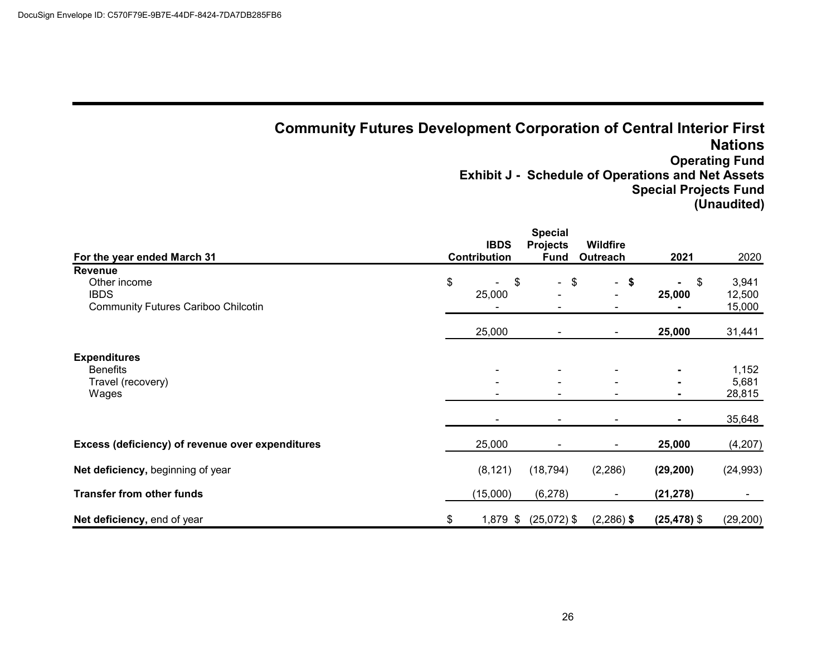## **Community Futures Development Corporation of Central Interior First Nations Operating Fund Exhibit J - Schedule of Operations and Net Assets Special Projects Fund (Unaudited)**

| For the year ended March 31                                                          | <b>IBDS</b><br><b>Contribution</b> | <b>Special</b><br><b>Projects</b><br><b>Fund</b> | <b>Wildfire</b><br>Outreach | 2021           | 2020                               |
|--------------------------------------------------------------------------------------|------------------------------------|--------------------------------------------------|-----------------------------|----------------|------------------------------------|
| Revenue<br>Other income<br><b>IBDS</b><br><b>Community Futures Cariboo Chilcotin</b> | \$<br>\$<br>25,000                 | $-$ \$                                           | $-$ \$<br>$\blacksquare$    | \$<br>25,000   | 3,941<br>12,500<br>15,000          |
|                                                                                      | 25,000                             | $\overline{\phantom{a}}$                         |                             | 25,000         | 31,441                             |
| <b>Expenditures</b><br><b>Benefits</b><br>Travel (recovery)<br>Wages                 |                                    | $\overline{\phantom{a}}$                         |                             |                | 1,152<br>5,681<br>28,815<br>35,648 |
| Excess (deficiency) of revenue over expenditures                                     | 25,000                             |                                                  |                             | 25,000         | (4,207)                            |
| Net deficiency, beginning of year                                                    | (8, 121)                           | (18, 794)                                        | (2, 286)                    | (29, 200)      | (24, 993)                          |
| <b>Transfer from other funds</b>                                                     | (15,000)                           | (6, 278)                                         |                             | (21, 278)      |                                    |
| Net deficiency, end of year                                                          | \$<br>1,879 \$                     | $(25,072)$ \$                                    | $(2,286)$ \$                | $(25, 478)$ \$ | (29, 200)                          |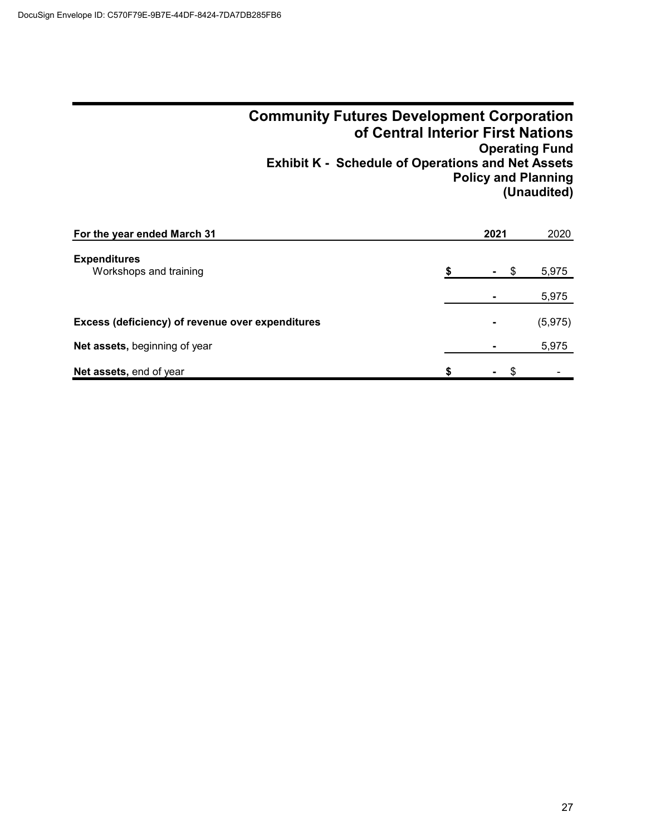### **Community Futures Development Corporation of Central Interior First Nations Operating Fund Exhibit K - Schedule of Operations and Net Assets Policy and Planning (Unaudited)**

| For the year ended March 31                      |   | 2021             | 2020     |
|--------------------------------------------------|---|------------------|----------|
| <b>Expenditures</b><br>Workshops and training    |   | - \$             | 5,975    |
|                                                  |   |                  | 5,975    |
| Excess (deficiency) of revenue over expenditures |   | $\blacksquare$   | (5, 975) |
| Net assets, beginning of year                    |   |                  | 5,975    |
| Net assets, end of year                          | S | $\sim$ 100 $\mu$ |          |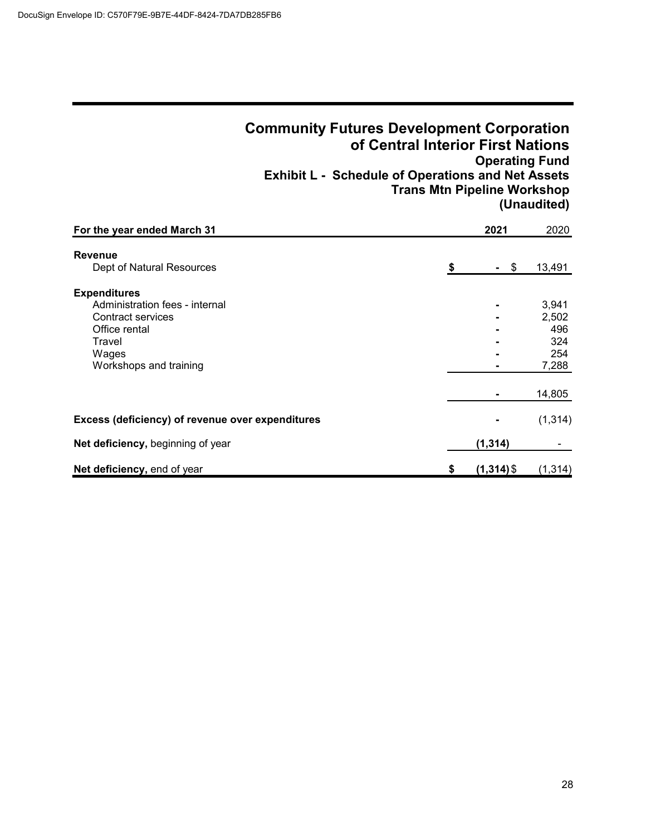|                                                                                                                                                                                                | <b>Community Futures Development Corporation</b><br>of Central Interior First Nations<br><b>Exhibit L - Schedule of Operations and Net Assets</b><br><b>Trans Mtn Pipeline Workshop</b> | <b>Operating Fund</b> | (Unaudited)                                                      |
|------------------------------------------------------------------------------------------------------------------------------------------------------------------------------------------------|-----------------------------------------------------------------------------------------------------------------------------------------------------------------------------------------|-----------------------|------------------------------------------------------------------|
| For the year ended March 31                                                                                                                                                                    |                                                                                                                                                                                         | 2021                  | 2020                                                             |
| <b>Revenue</b><br>Dept of Natural Resources<br><b>Expenditures</b><br>Administration fees - internal<br><b>Contract services</b><br>Office rental<br>Travel<br>Wages<br>Workshops and training | \$                                                                                                                                                                                      | \$                    | 13,491<br>3,941<br>2,502<br>496<br>324<br>254<br>7,288<br>14,805 |
| Excess (deficiency) of revenue over expenditures                                                                                                                                               |                                                                                                                                                                                         |                       | (1, 314)                                                         |
| Net deficiency, beginning of year                                                                                                                                                              |                                                                                                                                                                                         | (1, 314)              |                                                                  |
| Net deficiency, end of year                                                                                                                                                                    | S                                                                                                                                                                                       | $(1,314)$ \$          | (1, 314)                                                         |

### 28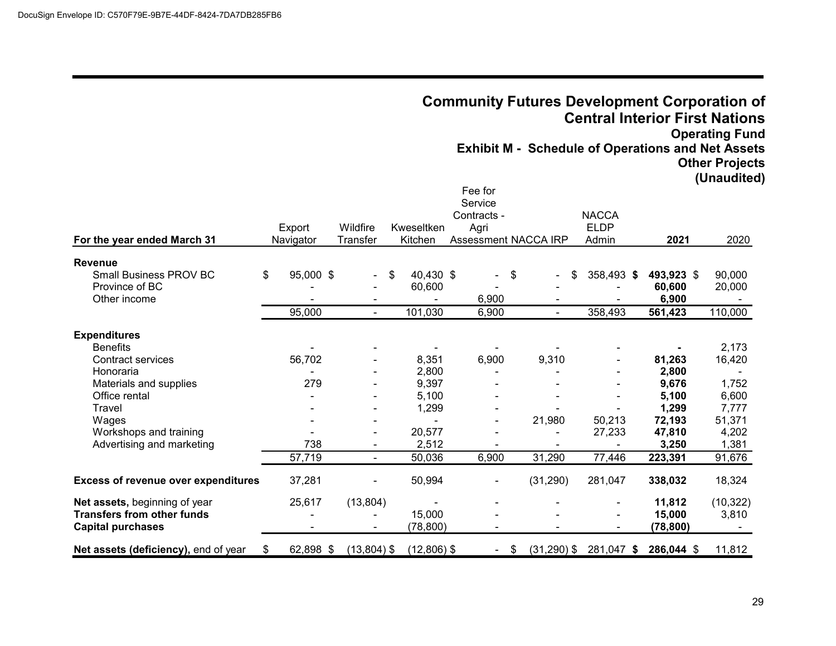**For the year ended March 31**

**Revenue**

| the year ended March 31                                                  |                           |                      |                                      |                                                                          |                | <b>Community Futures Development Corporation of</b><br><b>Central Interior First Nations</b><br><b>Exhibit M - Schedule of Operations and Net Assets</b> |                                          | <b>Operating Fund</b><br><b>Other Projects</b><br>(Unaudited) |
|--------------------------------------------------------------------------|---------------------------|----------------------|--------------------------------------|--------------------------------------------------------------------------|----------------|----------------------------------------------------------------------------------------------------------------------------------------------------------|------------------------------------------|---------------------------------------------------------------|
|                                                                          | Export<br>Navigator       | Wildfire<br>Transfer | Kweseltken<br>Kitchen                | Fee for<br>Service<br>Contracts -<br>Agri<br><b>Assessment NACCA IRP</b> |                | <b>NACCA</b><br><b>ELDP</b><br>Admin                                                                                                                     | 2021                                     | 2020                                                          |
| ∕enue<br><b>Small Business PROV BC</b><br>Province of BC<br>Other income | \$<br>95,000 \$<br>95,000 | $\sim$ .             | 40,430 \$<br>\$<br>60,600<br>101,030 | $-$ \$<br>6,900<br>6,900                                                 | $\blacksquare$ | 358,493 \$<br>\$.<br>358,493                                                                                                                             | 493,923 \$<br>60,600<br>6,900<br>561,423 | 90,000<br>20,000<br>110,000                                   |
| anditures                                                                |                           |                      |                                      |                                                                          |                |                                                                                                                                                          |                                          |                                                               |

|                                            | 95,000         |                          | 101,030       | 6,900                |               | 358,493    | 561,423    | 110,000   |
|--------------------------------------------|----------------|--------------------------|---------------|----------------------|---------------|------------|------------|-----------|
| <b>Expenditures</b>                        |                |                          |               |                      |               |            |            |           |
| <b>Benefits</b>                            |                |                          |               |                      |               |            |            | 2,173     |
| Contract services                          | 56,702         | $\overline{\phantom{a}}$ | 8,351         | 6,900                | 9,310         | Ξ.         | 81,263     | 16,420    |
| Honoraria                                  |                |                          | 2,800         |                      |               | ۰          | 2,800      |           |
| Materials and supplies                     | 279            |                          | 9,397         |                      |               |            | 9,676      | 1,752     |
| Office rental                              | $\blacksquare$ | $\overline{\phantom{0}}$ | 5,100         |                      |               |            | 5,100      | 6,600     |
| Travel                                     |                |                          | 1,299         |                      |               |            | 1,299      | 7,777     |
| Wages                                      | $\blacksquare$ |                          |               |                      | 21,980        | 50,213     | 72,193     | 51,371    |
| Workshops and training                     |                | ٠                        | 20,577        |                      |               | 27,233     | 47,810     | 4,202     |
| Advertising and marketing                  | 738            |                          | 2,512         |                      |               |            | 3,250      | 1,381     |
|                                            | 57,719         |                          | 50,036        | 6,900                | 31,290        | 77,446     | 223,391    | 91,676    |
| <b>Excess of revenue over expenditures</b> | 37,281         |                          | 50,994        |                      | (31, 290)     | 281,047    | 338,032    | 18,324    |
| Net assets, beginning of year              | 25,617         | (13, 804)                |               |                      |               |            | 11,812     | (10, 322) |
| <b>Transfers from other funds</b>          |                |                          | 15,000        |                      |               | ۰.         | 15,000     | 3,810     |
| <b>Capital purchases</b>                   |                |                          | (78,800)      |                      |               |            | (78,800)   |           |
| Net assets (deficiency), end of year<br>S. | 62,898 \$      | $(13,804)$ \$            | $(12,806)$ \$ | \$<br>$\blacksquare$ | $(31,290)$ \$ | 281,047 \$ | 286,044 \$ | 11,812    |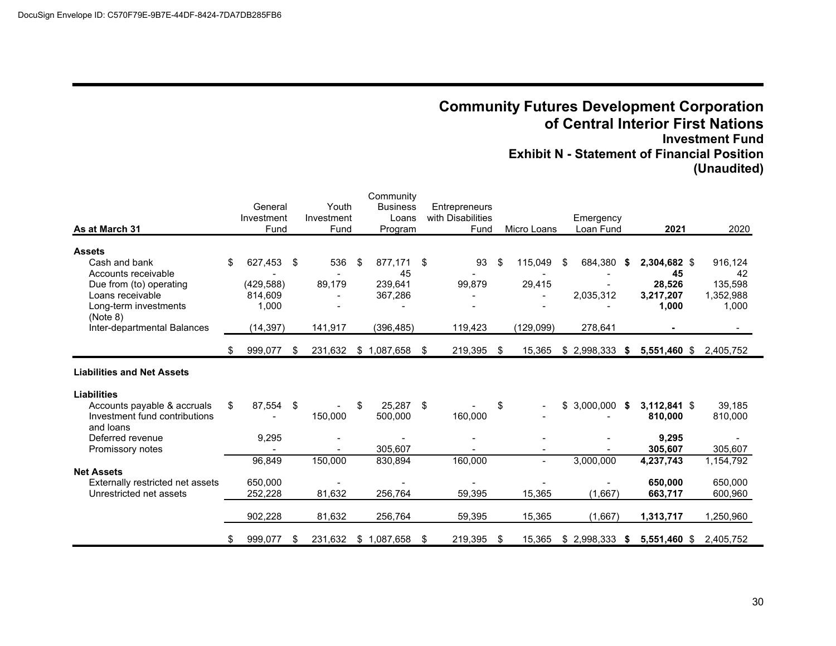## **Community Futures Development Corporation of Central Interior First Nations Investment Fund Exhibit N - Statement of Financial Position (Unaudited)**

| As at March 31                                                                                                                                                           |    | General<br>Investment<br>Fund                          |    | Youth<br>Investment<br>Fund | Community<br><b>Business</b><br>Loans<br>Program        |     | Entrepreneurs<br>with Disabilities<br>Fund |    | Micro Loans                     | Emergency<br>Loan Fund                |      | 2021                                               | 2020                                           |
|--------------------------------------------------------------------------------------------------------------------------------------------------------------------------|----|--------------------------------------------------------|----|-----------------------------|---------------------------------------------------------|-----|--------------------------------------------|----|---------------------------------|---------------------------------------|------|----------------------------------------------------|------------------------------------------------|
| <b>Assets</b><br>Cash and bank<br>Accounts receivable<br>Due from (to) operating<br>Loans receivable<br>Long-term investments<br>(Note 8)<br>Inter-departmental Balances | \$ | 627.453<br>(429, 588)<br>814.609<br>1,000<br>(14, 397) | \$ | 536<br>89.179<br>141,917    | \$<br>877,171<br>45<br>239,641<br>367,286<br>(396, 485) | \$  | 93<br>99,879<br>119,423                    | \$ | 115,049<br>29,415<br>(129, 099) | \$<br>684,380<br>2,035,312<br>278,641 | - \$ | 2,304,682 \$<br>45<br>28.526<br>3,217,207<br>1,000 | 916,124<br>42<br>135,598<br>1,352,988<br>1,000 |
|                                                                                                                                                                          | \$ | 999,077                                                | \$ | 231,632                     | \$1,087,658                                             | -\$ | 219,395                                    | \$ | 15,365                          | $$2,998,333$ \$                       |      | 5,551,460 \$                                       | 2,405,752                                      |
| <b>Liabilities and Net Assets</b>                                                                                                                                        |    |                                                        |    |                             |                                                         |     |                                            |    |                                 |                                       |      |                                                    |                                                |
| <b>Liabilities</b><br>Accounts payable & accruals<br>Investment fund contributions<br>and loans                                                                          | \$ | 87,554                                                 | \$ | 150,000                     | \$<br>25,287<br>500,000                                 | \$  | 160,000                                    | \$ |                                 | $$3,000,000$ \$                       |      | 3,112,841 \$<br>810,000                            | 39,185<br>810,000                              |
| Deferred revenue<br>Promissory notes                                                                                                                                     |    | 9,295<br>$\overline{\phantom{a}}$                      |    |                             | 305,607                                                 |     |                                            |    |                                 |                                       |      | 9,295<br>305,607                                   | 305,607                                        |
| <b>Net Assets</b><br>Externally restricted net assets<br>Unrestricted net assets                                                                                         |    | 96,849<br>650,000<br>252,228                           |    | 150,000<br>81,632           | 830,894<br>256,764                                      |     | 160,000<br>59,395                          |    | 15,365                          | 3,000,000<br>(1,667)                  |      | 4,237,743<br>650,000<br>663,717                    | 1,154,792<br>650,000<br>600,960                |
|                                                                                                                                                                          |    | 902,228                                                |    | 81,632                      | 256,764                                                 |     | 59,395                                     |    | 15,365                          | (1,667)                               |      | 1,313,717                                          | 1,250,960                                      |
|                                                                                                                                                                          | \$ | 999,077                                                | S  | 231,632                     | \$1,087,658                                             | \$  | 219,395                                    | S  | 15,365                          | $$2,998,333$ \$                       |      | 5,551,460 \$                                       | 2,405,752                                      |